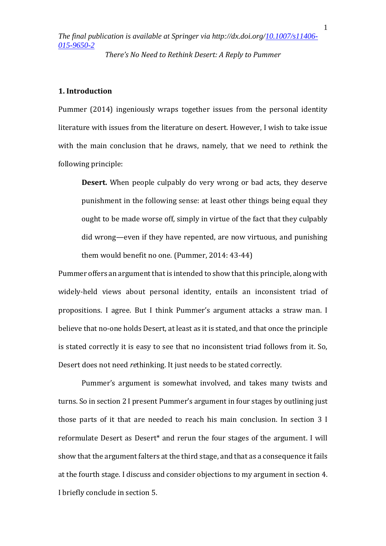*There's No Need to Rethink Desert: A Reply to Pummer*

## **1. Introduction**

Pummer (2014) ingeniously wraps together issues from the personal identity literature with issues from the literature on desert. However, I wish to take issue with the main conclusion that he draws, namely, that we need to *re*think the following principle:

**Desert.** When people culpably do very wrong or bad acts, they deserve punishment in the following sense: at least other things being equal they ought to be made worse off, simply in virtue of the fact that they culpably did wrong—even if they have repented, are now virtuous, and punishing them would benefit no one. (Pummer, 2014: 43-44)

Pummer offers an argument that is intended to show that this principle, along with widely-held views about personal identity, entails an inconsistent triad of propositions. I agree. But I think Pummer's argument attacks a straw man. I believe that no-one holds Desert, at least as it is stated, and that once the principle is stated correctly it is easy to see that no inconsistent triad follows from it. So, Desert does not need *re*thinking. It just needs to be stated correctly.

Pummer's argument is somewhat involved, and takes many twists and turns. So in section 2 I present Pummer's argument in four stages by outlining just those parts of it that are needed to reach his main conclusion. In section 3 I reformulate Desert as Desert\* and rerun the four stages of the argument. I will show that the argument falters at the third stage, and that as a consequence it fails at the fourth stage. I discuss and consider objections to my argument in section 4. I briefly conclude in section 5.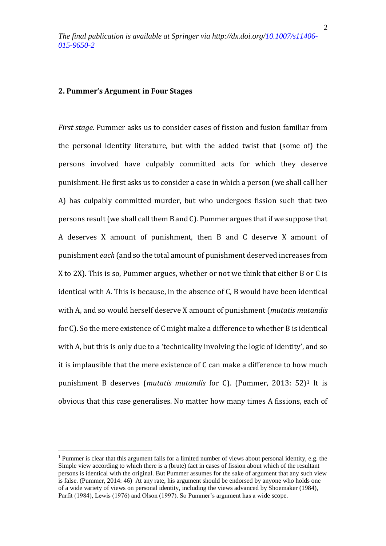### **2. Pummer's Argument in Four Stages**

1

*First stage.* Pummer asks us to consider cases of fission and fusion familiar from the personal identity literature, but with the added twist that (some of) the persons involved have culpably committed acts for which they deserve punishment. He first asks us to consider a case in which a person (we shall call her A) has culpably committed murder, but who undergoes fission such that two persons result (we shall call them B and C). Pummer argues that if we suppose that A deserves X amount of punishment, then B and C deserve X amount of punishment *each* (and so the total amount of punishment deserved increases from X to 2X). This is so, Pummer argues, whether or not we think that either B or C is identical with A. This is because, in the absence of C, B would have been identical with A, and so would herself deserve X amount of punishment (*mutatis mutandis* for C). So the mere existence of C might make a difference to whether B is identical with A, but this is only due to a 'technicality involving the logic of identity', and so it is implausible that the mere existence of C can make a difference to how much punishment B deserves (*mutatis mutandis* for C). (Pummer, 2013: 52)<sup>1</sup> It is obvious that this case generalises. No matter how many times A fissions, each of

<sup>&</sup>lt;sup>1</sup> Pummer is clear that this argument fails for a limited number of views about personal identity, e.g. the Simple view according to which there is a (brute) fact in cases of fission about which of the resultant persons is identical with the original. But Pummer assumes for the sake of argument that any such view is false. (Pummer, 2014: 46) At any rate, his argument should be endorsed by anyone who holds one of a wide variety of views on personal identity, including the views advanced by Shoemaker (1984), Parfit (1984), Lewis (1976) and Olson (1997). So Pummer's argument has a wide scope.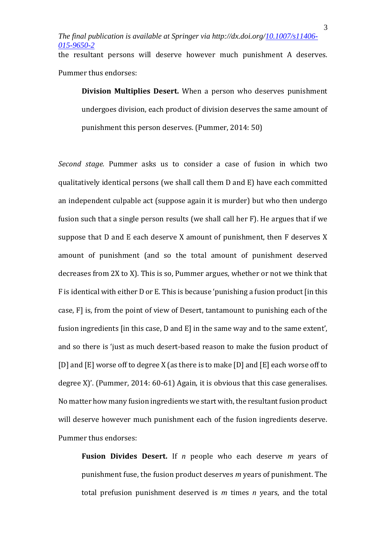*The final publication is available at Springer via http://dx.doi.org[/10.1007/s11406-](http://philpapers.org/go.pl?id=CURTNN&proxyId=&u=http%3A%2F%2Fdx.doi.org%2F10.1007%2Fs11406-015-9650-2) [015-9650-2](http://philpapers.org/go.pl?id=CURTNN&proxyId=&u=http%3A%2F%2Fdx.doi.org%2F10.1007%2Fs11406-015-9650-2)* the resultant persons will deserve however much punishment A deserves. Pummer thus endorses:

**Division Multiplies Desert.** When a person who deserves punishment undergoes division, each product of division deserves the same amount of punishment this person deserves. (Pummer, 2014: 50)

*Second stage.* Pummer asks us to consider a case of fusion in which two qualitatively identical persons (we shall call them D and E) have each committed an independent culpable act (suppose again it is murder) but who then undergo fusion such that a single person results (we shall call her F). He argues that if we suppose that D and E each deserve X amount of punishment, then F deserves X amount of punishment (and so the total amount of punishment deserved decreases from 2X to X). This is so, Pummer argues, whether or not we think that F is identical with either D or E. This is because 'punishing a fusion product [in this case, F] is, from the point of view of Desert, tantamount to punishing each of the fusion ingredients [in this case, D and E] in the same way and to the same extent', and so there is 'just as much desert-based reason to make the fusion product of [D] and [E] worse off to degree X (as there is to make [D] and [E] each worse off to degree X)'. (Pummer, 2014: 60-61) Again, it is obvious that this case generalises. No matter how many fusion ingredients we start with, the resultant fusion product will deserve however much punishment each of the fusion ingredients deserve. Pummer thus endorses:

**Fusion Divides Desert.** If *n* people who each deserve *m* years of punishment fuse, the fusion product deserves *m* years of punishment. The total prefusion punishment deserved is *m* times *n* years, and the total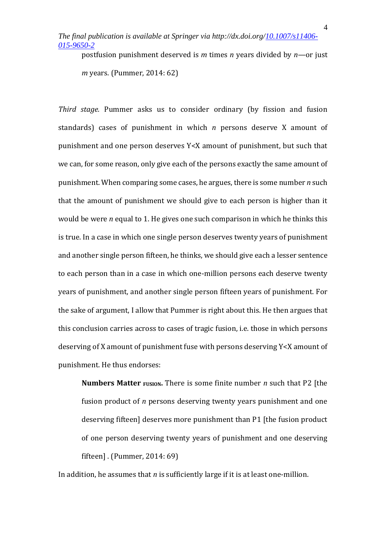postfusion punishment deserved is *m* times *n* years divided by *n*—or just *m* years. (Pummer, 2014: 62)

*Third stage.* Pummer asks us to consider ordinary (by fission and fusion standards) cases of punishment in which *n* persons deserve X amount of punishment and one person deserves Y<X amount of punishment, but such that we can, for some reason, only give each of the persons exactly the same amount of punishment. When comparing some cases, he argues, there is some number *n* such that the amount of punishment we should give to each person is higher than it would be were *n* equal to 1. He gives one such comparison in which he thinks this is true. In a case in which one single person deserves twenty years of punishment and another single person fifteen, he thinks, we should give each a lesser sentence to each person than in a case in which one-million persons each deserve twenty years of punishment, and another single person fifteen years of punishment. For the sake of argument, I allow that Pummer is right about this. He then argues that this conclusion carries across to cases of tragic fusion, i.e. those in which persons deserving of X amount of punishment fuse with persons deserving Y<X amount of punishment. He thus endorses:

**Numbers Matter FUSION.** There is some finite number *n* such that P2 [the fusion product of *n* persons deserving twenty years punishment and one deserving fifteen] deserves more punishment than P1 [the fusion product of one person deserving twenty years of punishment and one deserving fifteen] . (Pummer, 2014: 69)

In addition, he assumes that *n* is sufficiently large if it is at least one-million.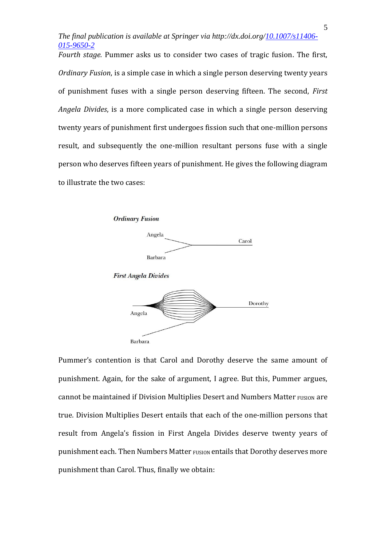*Fourth stage.* Pummer asks us to consider two cases of tragic fusion. The first, *Ordinary Fusion*, is a simple case in which a single person deserving twenty years of punishment fuses with a single person deserving fifteen. The second, *First Angela Divides*, is a more complicated case in which a single person deserving twenty years of punishment first undergoes fission such that one-million persons result, and subsequently the one-million resultant persons fuse with a single person who deserves fifteen years of punishment. He gives the following diagram to illustrate the two cases:



Pummer's contention is that Carol and Dorothy deserve the same amount of punishment. Again, for the sake of argument, I agree. But this, Pummer argues, cannot be maintained if Division Multiplies Desert and Numbers Matter FUSION are true. Division Multiplies Desert entails that each of the one-million persons that result from Angela's fission in First Angela Divides deserve twenty years of punishment each. Then Numbers Matter FUSION entails that Dorothy deserves more punishment than Carol. Thus, finally we obtain: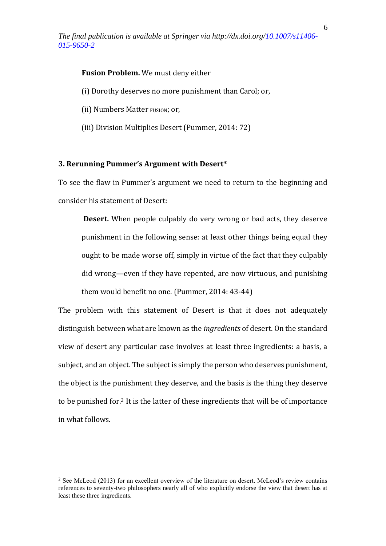#### **Fusion Problem.** We must deny either

- (i) Dorothy deserves no more punishment than Carol; or,
- (ii) Numbers Matter FUSION; or,
- (iii) Division Multiplies Desert (Pummer, 2014: 72)

# **3. Rerunning Pummer's Argument with Desert\***

To see the flaw in Pummer's argument we need to return to the beginning and consider his statement of Desert:

**Desert.** When people culpably do very wrong or bad acts, they deserve punishment in the following sense: at least other things being equal they ought to be made worse off, simply in virtue of the fact that they culpably did wrong—even if they have repented, are now virtuous, and punishing them would benefit no one. (Pummer, 2014: 43-44)

The problem with this statement of Desert is that it does not adequately distinguish between what are known as the *ingredients* of desert. On the standard view of desert any particular case involves at least three ingredients: a basis, a subject, and an object. The subject is simply the person who deserves punishment, the object is the punishment they deserve, and the basis is the thing they deserve to be punished for.<sup>2</sup> It is the latter of these ingredients that will be of importance in what follows.

<u>.</u>

<sup>&</sup>lt;sup>2</sup> See McLeod (2013) for an excellent overview of the literature on desert. McLeod's review contains references to seventy-two philosophers nearly all of who explicitly endorse the view that desert has at least these three ingredients.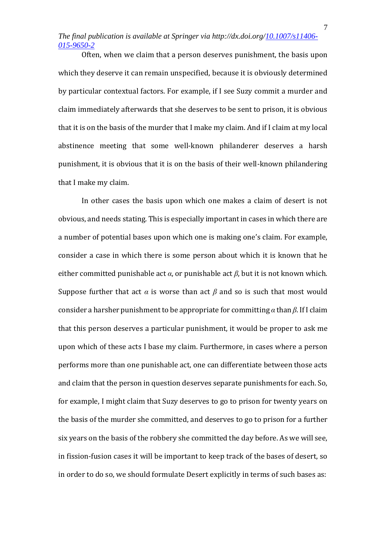Often, when we claim that a person deserves punishment, the basis upon which they deserve it can remain unspecified, because it is obviously determined by particular contextual factors. For example, if I see Suzy commit a murder and claim immediately afterwards that she deserves to be sent to prison, it is obvious that it is on the basis of the murder that I make my claim. And if I claim at my local abstinence meeting that some well-known philanderer deserves a harsh punishment, it is obvious that it is on the basis of their well-known philandering that I make my claim.

In other cases the basis upon which one makes a claim of desert is not obvious, and needs stating. This is especially important in cases in which there are a number of potential bases upon which one is making one's claim. For example, consider a case in which there is some person about which it is known that he either committed punishable act *α*, or punishable act *β*, but it is not known which. Suppose further that act  $\alpha$  is worse than act  $\beta$  and so is such that most would consider a harsher punishment to be appropriate for committing *α* than *β*. If I claim that this person deserves a particular punishment, it would be proper to ask me upon which of these acts I base my claim. Furthermore, in cases where a person performs more than one punishable act, one can differentiate between those acts and claim that the person in question deserves separate punishments for each. So, for example, I might claim that Suzy deserves to go to prison for twenty years on the basis of the murder she committed, and deserves to go to prison for a further six years on the basis of the robbery she committed the day before. As we will see, in fission-fusion cases it will be important to keep track of the bases of desert, so in order to do so, we should formulate Desert explicitly in terms of such bases as: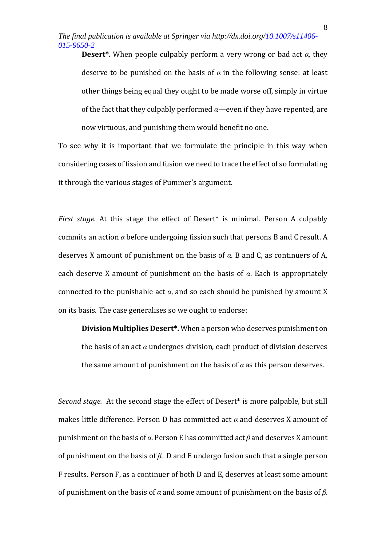**Desert\*.** When people culpably perform a very wrong or bad act *α*, they deserve to be punished on the basis of *α* in the following sense: at least other things being equal they ought to be made worse off, simply in virtue of the fact that they culpably performed *α*—even if they have repented, are now virtuous, and punishing them would benefit no one.

To see why it is important that we formulate the principle in this way when considering cases of fission and fusion we need to trace the effect of so formulating it through the various stages of Pummer's argument.

*First stage.* At this stage the effect of Desert<sup>\*</sup> is minimal. Person A culpably commits an action *α* before undergoing fission such that persons B and C result. A deserves X amount of punishment on the basis of *α*. B and C, as continuers of A, each deserve X amount of punishment on the basis of *α*. Each is appropriately connected to the punishable act *α*, and so each should be punished by amount X on its basis. The case generalises so we ought to endorse:

**Division Multiplies Desert\*.** When a person who deserves punishment on the basis of an act *α* undergoes division, each product of division deserves the same amount of punishment on the basis of  $\alpha$  as this person deserves.

*Second stage.* At the second stage the effect of Desert\* is more palpable, but still makes little difference. Person D has committed act *α* and deserves X amount of punishment on the basis of *α*. Person E has committed act *β* and deserves X amount of punishment on the basis of *β*. D and E undergo fusion such that a single person F results. Person F, as a continuer of both D and E, deserves at least some amount of punishment on the basis of *α* and some amount of punishment on the basis of *β*.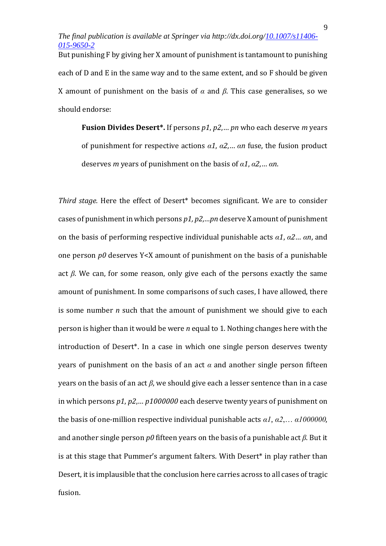But punishing F by giving her X amount of punishment is tantamount to punishing each of D and E in the same way and to the same extent, and so F should be given X amount of punishment on the basis of  $\alpha$  and  $\beta$ . This case generalises, so we should endorse:

**Fusion Divides Desert\*.** If persons *p1*, *p2*,… *pn* who each deserve *m* years of punishment for respective actions *α1*, *α2*,… *αn* fuse, the fusion product deserves *m* years of punishment on the basis of *α1*, *α2*,… *αn*.

*Third stage.* Here the effect of Desert\* becomes significant. We are to consider cases of punishment in which persons *p1, p2,…pn* deserve X amount of punishment on the basis of performing respective individual punishable acts *α1*, *α2*… *αn*, and one person *p0* deserves Y<X amount of punishment on the basis of a punishable act  $β$ . We can, for some reason, only give each of the persons exactly the same amount of punishment. In some comparisons of such cases, I have allowed, there is some number *n* such that the amount of punishment we should give to each person is higher than it would be were *n* equal to 1. Nothing changes here with the introduction of Desert\*. In a case in which one single person deserves twenty years of punishment on the basis of an act  $\alpha$  and another single person fifteen years on the basis of an act *β*, we should give each a lesser sentence than in a case in which persons *p1*, *p2*,… *p1000000* each deserve twenty years of punishment on the basis of one-million respective individual punishable acts *α1*, *α2*,… *α1000000*, and another single person *p0* fifteen years on the basis of a punishable act *β*. But it is at this stage that Pummer's argument falters. With Desert\* in play rather than Desert, it is implausible that the conclusion here carries across to all cases of tragic fusion.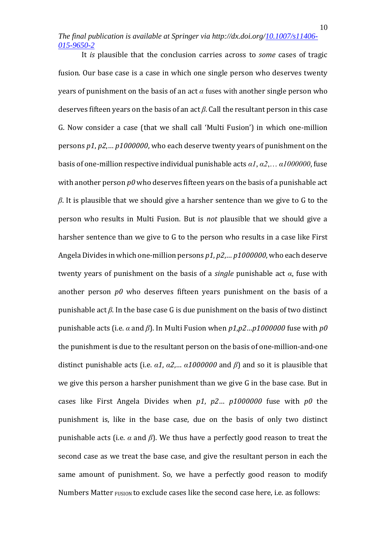It *is* plausible that the conclusion carries across to *some* cases of tragic fusion. Our base case is a case in which one single person who deserves twenty years of punishment on the basis of an act *α* fuses with another single person who deserves fifteen years on the basis of an act *β*. Call the resultant person in this case G. Now consider a case (that we shall call 'Multi Fusion') in which one-million persons *p1*, *p2*,… *p1000000*, who each deserve twenty years of punishment on the basis of one-million respective individual punishable acts *α1*, *α2*,… *α1000000*, fuse with another person *p0* who deserves fifteen years on the basis of a punishable act *β*. It is plausible that we should give a harsher sentence than we give to G to the person who results in Multi Fusion. But is *not* plausible that we should give a harsher sentence than we give to G to the person who results in a case like First Angela Divides in which one-million persons *p1*, *p2*,… *p1000000*, who each deserve twenty years of punishment on the basis of a *single* punishable act *α*, fuse with another person *p0* who deserves fifteen years punishment on the basis of a punishable act *β*. In the base case G is due punishment on the basis of two distinct punishable acts (i.e. *α* and *β*). In Multi Fusion when *p1*,*p2*…*p1000000* fuse with *p0* the punishment is due to the resultant person on the basis of one-million-and-one distinct punishable acts (i.e. *α1*, *α2*,… *α1000000* and *β*) and so it is plausible that we give this person a harsher punishment than we give G in the base case. But in cases like First Angela Divides when *p1*, *p2*… *p1000000* fuse with *p0* the punishment is, like in the base case, due on the basis of only two distinct punishable acts (i.e. *α* and *β*). We thus have a perfectly good reason to treat the second case as we treat the base case, and give the resultant person in each the same amount of punishment. So, we have a perfectly good reason to modify Numbers Matter FUSION to exclude cases like the second case here, i.e. as follows: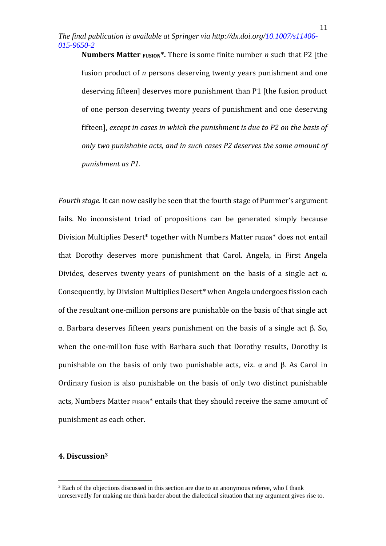**Numbers Matter** *FUSION***<sup>\*</sup>.** There is some finite number *n* such that P2 [the fusion product of *n* persons deserving twenty years punishment and one deserving fifteen] deserves more punishment than P1 [the fusion product of one person deserving twenty years of punishment and one deserving fifteen], *except in cases in which the punishment is due to P2 on the basis of only two punishable acts, and in such cases P2 deserves the same amount of punishment as P1.*

*Fourth stage.* It can now easily be seen that the fourth stage of Pummer's argument fails. No inconsistent triad of propositions can be generated simply because Division Multiplies Desert\* together with Numbers Matter FUSION\* does not entail that Dorothy deserves more punishment that Carol. Angela, in First Angela Divides, deserves twenty years of punishment on the basis of a single act  $\alpha$ . Consequently, by Division Multiplies Desert\* when Angela undergoes fission each of the resultant one-million persons are punishable on the basis of that single act α. Barbara deserves fifteen years punishment on the basis of a single act β. So, when the one-million fuse with Barbara such that Dorothy results, Dorothy is punishable on the basis of only two punishable acts, viz. α and β. As Carol in Ordinary fusion is also punishable on the basis of only two distinct punishable acts, Numbers Matter FUSION<sup>\*</sup> entails that they should receive the same amount of punishment as each other.

## **4. Discussion<sup>3</sup>**

1

<sup>&</sup>lt;sup>3</sup> Each of the objections discussed in this section are due to an anonymous referee, who I thank unreservedly for making me think harder about the dialectical situation that my argument gives rise to.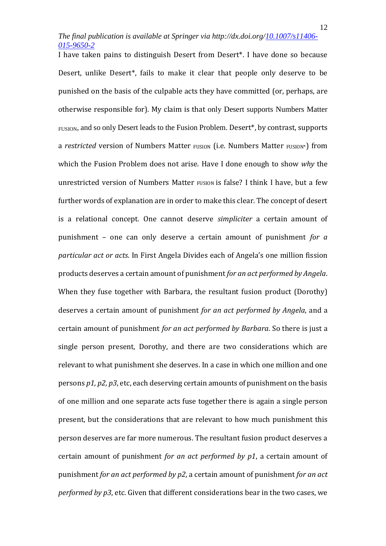I have taken pains to distinguish Desert from Desert\*. I have done so because Desert, unlike Desert\*, fails to make it clear that people only deserve to be punished on the basis of the culpable acts they have committed (or, perhaps, are otherwise responsible for). My claim is that only Desert supports Numbers Matter FUSION, and so only Desert leads to the Fusion Problem. Desert\*, by contrast, supports a *restricted* version of Numbers Matter FUSION (i.e. Numbers Matter FUSION\*) from which the Fusion Problem does not arise. Have I done enough to show *why* the unrestricted version of Numbers Matter FUSION is false? I think I have, but a few further words of explanation are in order to make this clear. The concept of desert is a relational concept. One cannot deserve *simpliciter* a certain amount of punishment – one can only deserve a certain amount of punishment *for a particular act or acts*. In First Angela Divides each of Angela's one million fission products deserves a certain amount of punishment *for an act performed by Angela*. When they fuse together with Barbara, the resultant fusion product (Dorothy) deserves a certain amount of punishment *for an act performed by Angela*, and a certain amount of punishment *for an act performed by Barbara*. So there is just a single person present, Dorothy, and there are two considerations which are relevant to what punishment she deserves. In a case in which one million and one persons *p1, p2, p3*, etc, each deserving certain amounts of punishment on the basis of one million and one separate acts fuse together there is again a single person present, but the considerations that are relevant to how much punishment this person deserves are far more numerous. The resultant fusion product deserves a certain amount of punishment *for an act performed by p1*, a certain amount of punishment *for an act performed by p2*, a certain amount of punishment *for an act performed by p3*, etc. Given that different considerations bear in the two cases, we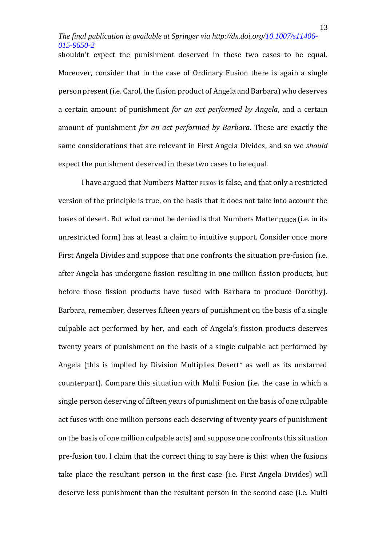shouldn't expect the punishment deserved in these two cases to be equal. Moreover, consider that in the case of Ordinary Fusion there is again a single person present (i.e. Carol, the fusion product of Angela and Barbara) who deserves a certain amount of punishment *for an act performed by Angela*, and a certain amount of punishment *for an act performed by Barbara*. These are exactly the same considerations that are relevant in First Angela Divides, and so we *should* expect the punishment deserved in these two cases to be equal.

I have argued that Numbers Matter FUSION is false, and that only a restricted version of the principle is true, on the basis that it does not take into account the bases of desert. But what cannot be denied is that Numbers Matter FUSION (i.e. in its unrestricted form) has at least a claim to intuitive support. Consider once more First Angela Divides and suppose that one confronts the situation pre-fusion (i.e. after Angela has undergone fission resulting in one million fission products, but before those fission products have fused with Barbara to produce Dorothy). Barbara, remember, deserves fifteen years of punishment on the basis of a single culpable act performed by her, and each of Angela's fission products deserves twenty years of punishment on the basis of a single culpable act performed by Angela (this is implied by Division Multiplies Desert\* as well as its unstarred counterpart). Compare this situation with Multi Fusion (i.e. the case in which a single person deserving of fifteen years of punishment on the basis of one culpable act fuses with one million persons each deserving of twenty years of punishment on the basis of one million culpable acts) and suppose one confronts this situation pre-fusion too. I claim that the correct thing to say here is this: when the fusions take place the resultant person in the first case (i.e. First Angela Divides) will deserve less punishment than the resultant person in the second case (i.e. Multi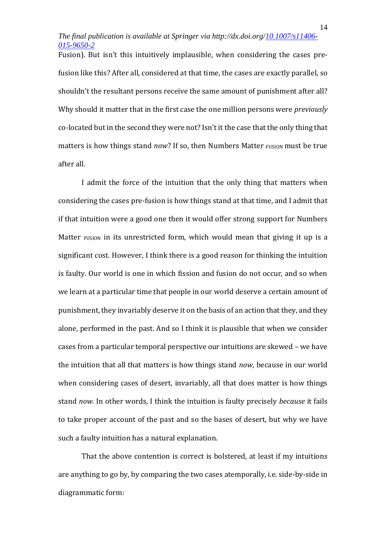Fusion). But isn't this intuitively implausible, when considering the cases prefusion like this? After all, considered at that time, the cases are exactly parallel, so shouldn't the resultant persons receive the same amount of punishment after all? Why should it matter that in the first case the one million persons were *previously* co-located but in the second they were not? Isn't it the case that the only thing that matters is how things stand *now*? If so, then Numbers Matter Fusion must be true after all.

I admit the force of the intuition that the only thing that matters when considering the cases pre-fusion is how things stand at that time, and I admit that if that intuition were a good one then it would offer strong support for Numbers Matter FUSION in its unrestricted form, which would mean that giving it up is a significant cost. However, I think there is a good reason for thinking the intuition is faulty. Our world is one in which fission and fusion do not occur, and so when we learn at a particular time that people in our world deserve a certain amount of punishment, they invariably deserve it on the basis of an action that they, and they alone, performed in the past. And so I think it is plausible that when we consider cases from a particular temporal perspective our intuitions are skewed – we have the intuition that all that matters is how things stand *now*, because in our world when considering cases of desert, invariably, all that does matter is how things stand *now*. In other words, I think the intuition is faulty precisely *because* it fails to take proper account of the past and so the bases of desert, but why we have such a faulty intuition has a natural explanation.

That the above contention is correct is bolstered, at least if my intuitions are anything to go by, by comparing the two cases atemporally, i.e. side-by-side in diagrammatic form: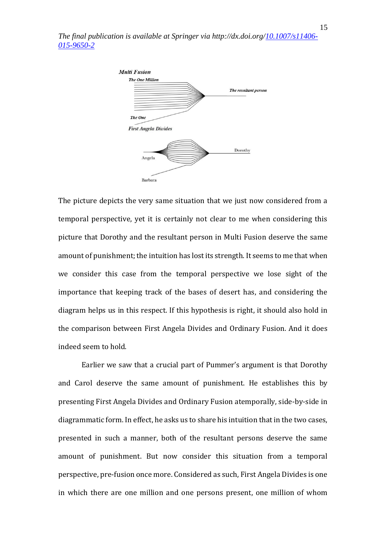

The picture depicts the very same situation that we just now considered from a temporal perspective, yet it is certainly not clear to me when considering this picture that Dorothy and the resultant person in Multi Fusion deserve the same amount of punishment; the intuition has lost its strength. It seems to me that when we consider this case from the temporal perspective we lose sight of the importance that keeping track of the bases of desert has, and considering the diagram helps us in this respect. If this hypothesis is right, it should also hold in the comparison between First Angela Divides and Ordinary Fusion. And it does indeed seem to hold.

Earlier we saw that a crucial part of Pummer's argument is that Dorothy and Carol deserve the same amount of punishment. He establishes this by presenting First Angela Divides and Ordinary Fusion atemporally, side-by-side in diagrammatic form. In effect, he asks us to share his intuition that in the two cases, presented in such a manner, both of the resultant persons deserve the same amount of punishment. But now consider this situation from a temporal perspective, pre-fusion once more. Considered as such, First Angela Divides is one in which there are one million and one persons present, one million of whom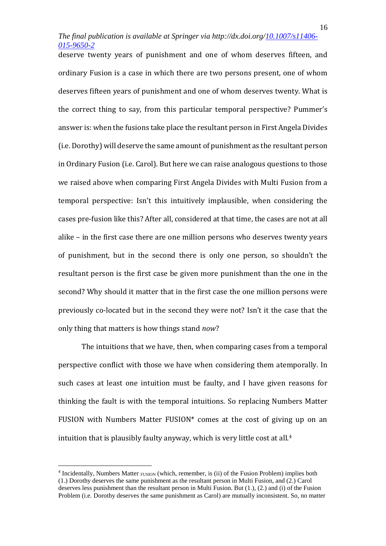deserve twenty years of punishment and one of whom deserves fifteen, and ordinary Fusion is a case in which there are two persons present, one of whom deserves fifteen years of punishment and one of whom deserves twenty. What is the correct thing to say, from this particular temporal perspective? Pummer's answer is: when the fusions take place the resultant person in First Angela Divides (i.e. Dorothy) will deserve the same amount of punishment as the resultant person in Ordinary Fusion (i.e. Carol). But here we can raise analogous questions to those we raised above when comparing First Angela Divides with Multi Fusion from a temporal perspective: Isn't this intuitively implausible, when considering the cases pre-fusion like this? After all, considered at that time, the cases are not at all alike – in the first case there are one million persons who deserves twenty years of punishment, but in the second there is only one person, so shouldn't the resultant person is the first case be given more punishment than the one in the second? Why should it matter that in the first case the one million persons were previously co-located but in the second they were not? Isn't it the case that the only thing that matters is how things stand *now*?

The intuitions that we have, then, when comparing cases from a temporal perspective conflict with those we have when considering them atemporally. In such cases at least one intuition must be faulty, and I have given reasons for thinking the fault is with the temporal intuitions. So replacing Numbers Matter FUSION with Numbers Matter FUSION\* comes at the cost of giving up on an intuition that is plausibly faulty anyway, which is very little cost at all.<sup>4</sup>

1

<sup>&</sup>lt;sup>4</sup> Incidentally, Numbers Matter FUSION (which, remember, is (ii) of the Fusion Problem) implies both (1.) Dorothy deserves the same punishment as the resultant person in Multi Fusion, and (2.) Carol deserves less punishment than the resultant person in Multi Fusion. But (1.), (2.) and (i) of the Fusion Problem (i.e. Dorothy deserves the same punishment as Carol) are mutually inconsistent. So, no matter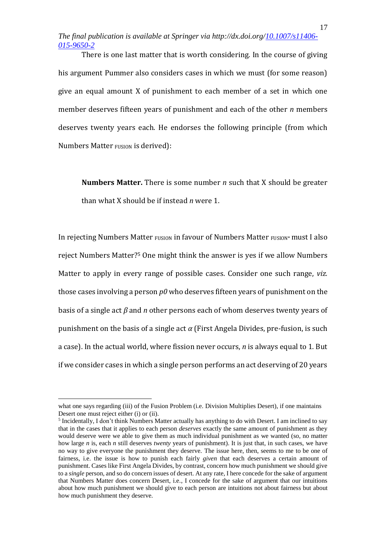There is one last matter that is worth considering. In the course of giving his argument Pummer also considers cases in which we must (for some reason) give an equal amount X of punishment to each member of a set in which one member deserves fifteen years of punishment and each of the other *n* members deserves twenty years each. He endorses the following principle (from which Numbers Matter FUSION is derived):

**Numbers Matter.** There is some number *n* such that X should be greater than what X should be if instead *n* were 1.

In rejecting Numbers Matter FUSION in favour of Numbers Matter FUSION\* must I also reject Numbers Matter?<sup>5</sup> One might think the answer is yes if we allow Numbers Matter to apply in every range of possible cases. Consider one such range, *viz.* those cases involving a person *p0* who deserves fifteen years of punishment on the basis of a single act *β* and *n* other persons each of whom deserves twenty years of punishment on the basis of a single act *α* (First Angela Divides, pre-fusion, is such a case). In the actual world, where fission never occurs, *n* is always equal to 1. But if we consider cases in which a single person performs an act deserving of 20 years

1

what one says regarding (iii) of the Fusion Problem (i.e. Division Multiplies Desert), if one maintains Desert one must reject either (i) or (ii).

<sup>&</sup>lt;sup>5</sup> Incidentally, I don't think Numbers Matter actually has anything to do with Desert. I am inclined to say that in the cases that it applies to each person *deserves* exactly the same amount of punishment as they would deserve were we able to give them as much individual punishment as we wanted (so, no matter how large *n* is, each *n* still deserves *twenty* years of punishment). It is just that, in such cases, we have no way to give everyone the punishment they deserve. The issue here, then, seems to me to be one of fairness, i.e. the issue is how to punish each fairly *given* that each deserves a certain amount of punishment. Cases like First Angela Divides, by contrast, concern how much punishment we should give to a *single* person, and so do concern issues of desert. At any rate, I here concede for the sake of argument that Numbers Matter does concern Desert, i.e., I concede for the sake of argument that our intuitions about how much punishment we should give to each person are intuitions not about fairness but about how much punishment they deserve.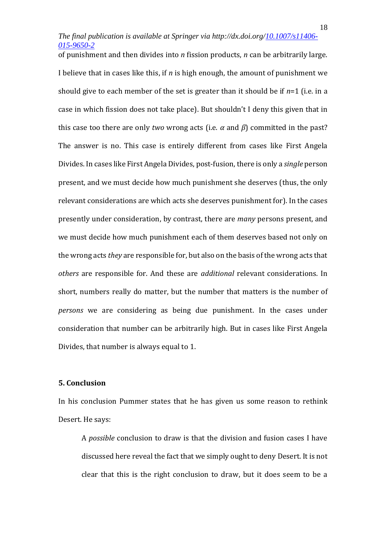of punishment and then divides into *n* fission products, *n* can be arbitrarily large. I believe that in cases like this, if *n* is high enough, the amount of punishment we should give to each member of the set is greater than it should be if *n*=1 (i.e. in a case in which fission does not take place). But shouldn't I deny this given that in this case too there are only *two* wrong acts (i.e.  $\alpha$  and  $\beta$ ) committed in the past? The answer is no. This case is entirely different from cases like First Angela Divides. In cases like First Angela Divides, post-fusion, there is only a *single* person present, and we must decide how much punishment she deserves (thus, the only relevant considerations are which acts she deserves punishment for). In the cases presently under consideration, by contrast, there are *many* persons present, and we must decide how much punishment each of them deserves based not only on the wrong acts *they* are responsible for, but also on the basis of the wrong acts that *others* are responsible for. And these are *additional* relevant considerations. In short, numbers really do matter, but the number that matters is the number of *persons* we are considering as being due punishment. In the cases under consideration that number can be arbitrarily high. But in cases like First Angela Divides, that number is always equal to 1.

## **5. Conclusion**

In his conclusion Pummer states that he has given us some reason to rethink Desert. He says:

A *possible* conclusion to draw is that the division and fusion cases I have discussed here reveal the fact that we simply ought to deny Desert. It is not clear that this is the right conclusion to draw, but it does seem to be a